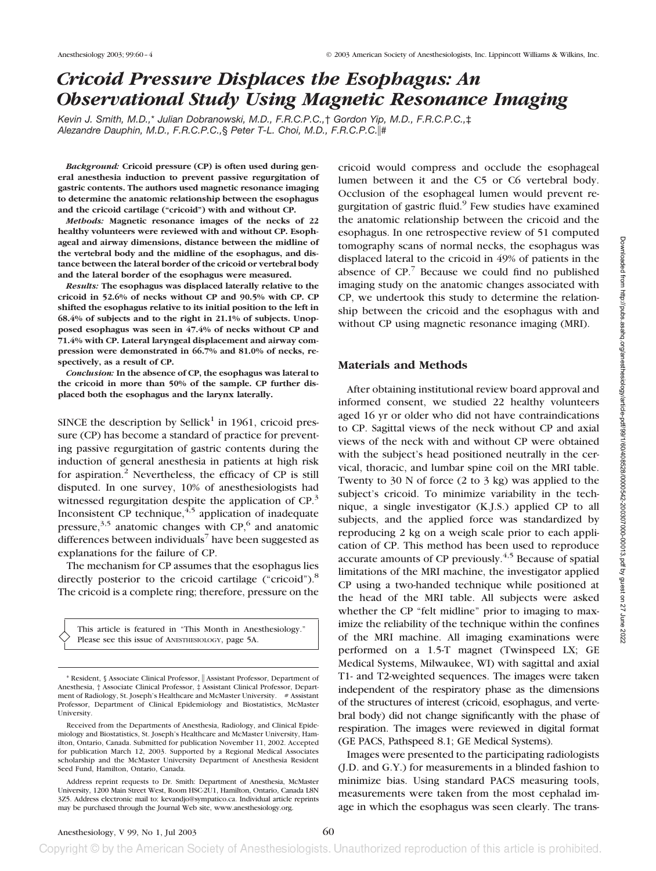# *Cricoid Pressure Displaces the Esophagus: An Observational Study Using Magnetic Resonance Imaging*

*Kevin J. Smith, M.D.,*\* *Julian Dobranowski, M.D., F.R.C.P.C.,*† *Gordon Yip, M.D., F.R.C.P.C.,*‡ *Alezandre Dauphin, M.D., F.R.C.P.C.,*§ *Peter T-L. Choi, M.D., F.R.C.P.C.*#

*Background:* **Cricoid pressure (CP) is often used during general anesthesia induction to prevent passive regurgitation of gastric contents. The authors used magnetic resonance imaging to determine the anatomic relationship between the esophagus and the cricoid cartilage ("cricoid") with and without CP.**

*Methods:* **Magnetic resonance images of the necks of 22 healthy volunteers were reviewed with and without CP. Esophageal and airway dimensions, distance between the midline of the vertebral body and the midline of the esophagus, and distance between the lateral border of the cricoid or vertebral body and the lateral border of the esophagus were measured.**

*Results:* **The esophagus was displaced laterally relative to the cricoid in 52.6% of necks without CP and 90.5% with CP. CP shifted the esophagus relative to its initial position to the left in 68.4% of subjects and to the right in 21.1% of subjects. Unopposed esophagus was seen in 47.4% of necks without CP and 71.4% with CP. Lateral laryngeal displacement and airway compression were demonstrated in 66.7% and 81.0% of necks, respectively, as a result of CP.**

*Conclusion:* **In the absence of CP, the esophagus was lateral to the cricoid in more than 50% of the sample. CP further displaced both the esophagus and the larynx laterally.**

SINCE the description by Sellick<sup>1</sup> in 1961, cricoid pressure (CP) has become a standard of practice for preventing passive regurgitation of gastric contents during the induction of general anesthesia in patients at high risk for aspiration.2 Nevertheless, the efficacy of CP is still disputed. In one survey, 10% of anesthesiologists had witnessed regurgitation despite the application of CP.<sup>3</sup> Inconsistent CP technique,  $4.5$  application of inadequate pressure,  $3,5$  anatomic changes with CP, $6$  and anatomic differences between individuals<sup>7</sup> have been suggested as explanations for the failure of CP.

The mechanism for CP assumes that the esophagus lies directly posterior to the cricoid cartilage ("cricoid").<sup>8</sup> The cricoid is a complete ring; therefore, pressure on the

This article is featured in "This Month in Anesthesiology." Please see this issue of ANESTHESIOLOGY, page 5A.

cricoid would compress and occlude the esophageal lumen between it and the C5 or C6 vertebral body. Occlusion of the esophageal lumen would prevent regurgitation of gastric fluid. $9$  Few studies have examined the anatomic relationship between the cricoid and the esophagus. In one retrospective review of 51 computed tomography scans of normal necks, the esophagus was displaced lateral to the cricoid in 49% of patients in the absence of  $CP$ .<sup>7</sup> Because we could find no published imaging study on the anatomic changes associated with CP, we undertook this study to determine the relationship between the cricoid and the esophagus with and without CP using magnetic resonance imaging (MRI).

## **Materials and Methods**

After obtaining institutional review board approval and informed consent, we studied 22 healthy volunteers aged 16 yr or older who did not have contraindications to CP. Sagittal views of the neck without CP and axial views of the neck with and without CP were obtained with the subject's head positioned neutrally in the cervical, thoracic, and lumbar spine coil on the MRI table. Twenty to 30 N of force (2 to 3 kg) was applied to the subject's cricoid. To minimize variability in the technique, a single investigator (K.J.S.) applied CP to all subjects, and the applied force was standardized by reproducing 2 kg on a weigh scale prior to each application of CP. This method has been used to reproduce accurate amounts of CP previously.<sup>4,5</sup> Because of spatial limitations of the MRI machine, the investigator applied CP using a two-handed technique while positioned at the head of the MRI table. All subjects were asked whether the CP "felt midline" prior to imaging to maximize the reliability of the technique within the confines of the MRI machine. All imaging examinations were performed on a 1.5-T magnet (Twinspeed LX; GE Medical Systems, Milwaukee, WI) with sagittal and axial T1- and T2-weighted sequences. The images were taken independent of the respiratory phase as the dimensions of the structures of interest (cricoid, esophagus, and vertebral body) did not change significantly with the phase of respiration. The images were reviewed in digital format (GE PACS, Pathspeed 8.1; GE Medical Systems).

Images were presented to the participating radiologists (J.D. and G.Y.) for measurements in a blinded fashion to minimize bias. Using standard PACS measuring tools, measurements were taken from the most cephalad image in which the esophagus was seen clearly. The trans-

<sup>\*</sup> Resident, § Associate Clinical Professor, Assistant Professor, Department of Anesthesia, † Associate Clinical Professor, ‡ Assistant Clinical Professor, Department of Radiology, St. Joseph's Healthcare and McMaster University. # Assistant Professor, Department of Clinical Epidemiology and Biostatistics, McMaster University.

Received from the Departments of Anesthesia, Radiology, and Clinical Epidemiology and Biostatistics, St. Joseph's Healthcare and McMaster University, Hamilton, Ontario, Canada. Submitted for publication November 11, 2002. Accepted for publication March 12, 2003. Supported by a Regional Medical Associates scholarship and the McMaster University Department of Anesthesia Resident Seed Fund, Hamilton, Ontario, Canada.

Address reprint requests to Dr. Smith: Department of Anesthesia, McMaster University, 1200 Main Street West, Room HSC-2U1, Hamilton, Ontario, Canada L8N 3Z5. Address electronic mail to: kevandjo@sympatico.ca. Individual article reprints may be purchased through the Journal Web site, www.anesthesiology.org.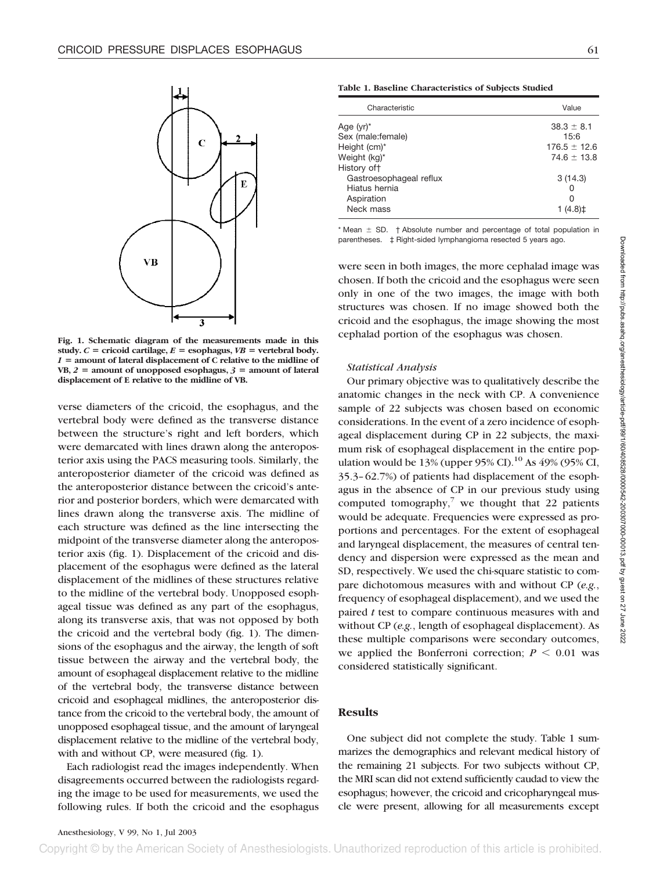

**Fig. 1. Schematic diagram of the measurements made in this** study.  $C =$  cricoid cartilage,  $E =$  esophagus,  $VB =$  vertebral body. *1* **amount of lateral displacement of C relative to the midline of**  $VB, 2 =$  amount of unopposed esophagus,  $3 =$  amount of lateral **displacement of E relative to the midline of VB.**

verse diameters of the cricoid, the esophagus, and the vertebral body were defined as the transverse distance between the structure's right and left borders, which were demarcated with lines drawn along the anteroposterior axis using the PACS measuring tools. Similarly, the anteroposterior diameter of the cricoid was defined as the anteroposterior distance between the cricoid's anterior and posterior borders, which were demarcated with lines drawn along the transverse axis. The midline of each structure was defined as the line intersecting the midpoint of the transverse diameter along the anteroposterior axis (fig. 1). Displacement of the cricoid and displacement of the esophagus were defined as the lateral displacement of the midlines of these structures relative to the midline of the vertebral body. Unopposed esophageal tissue was defined as any part of the esophagus, along its transverse axis, that was not opposed by both the cricoid and the vertebral body (fig. 1). The dimensions of the esophagus and the airway, the length of soft tissue between the airway and the vertebral body, the amount of esophageal displacement relative to the midline of the vertebral body, the transverse distance between cricoid and esophageal midlines, the anteroposterior distance from the cricoid to the vertebral body, the amount of unopposed esophageal tissue, and the amount of laryngeal displacement relative to the midline of the vertebral body, with and without CP, were measured (fig. 1).

Each radiologist read the images independently. When disagreements occurred between the radiologists regarding the image to be used for measurements, we used the following rules. If both the cricoid and the esophagus

**Table 1. Baseline Characteristics of Subjects Studied**

| Characteristic          | Value            |  |
|-------------------------|------------------|--|
| Age (yr)*               | $38.3 \pm 8.1$   |  |
| Sex (male:female)       | 15:6             |  |
| Height (cm)*            | $176.5 \pm 12.6$ |  |
| Weight (kg)*            | $74.6 \pm 13.8$  |  |
| History oft             |                  |  |
| Gastroesophageal reflux | 3(14.3)          |  |
| Hiatus hernia           | Ω                |  |
| Aspiration              | ი                |  |
| Neck mass               |                  |  |
|                         |                  |  |

 $*$  Mean  $\pm$  SD.  $\dagger$  Absolute number and percentage of total population in parentheses. ‡ Right-sided lymphangioma resected 5 years ago.

were seen in both images, the more cephalad image was chosen. If both the cricoid and the esophagus were seen only in one of the two images, the image with both structures was chosen. If no image showed both the cricoid and the esophagus, the image showing the most cephalad portion of the esophagus was chosen.

#### *Statistical Analysis*

Our primary objective was to qualitatively describe the anatomic changes in the neck with CP. A convenience sample of 22 subjects was chosen based on economic considerations. In the event of a zero incidence of esophageal displacement during CP in 22 subjects, the maximum risk of esophageal displacement in the entire population would be 13% (upper  $95\%$  CI).<sup>10</sup> As 49% (95% CI, 35.3–62.7%) of patients had displacement of the esophagus in the absence of CP in our previous study using computed tomography, $\bar{y}$  we thought that 22 patients would be adequate. Frequencies were expressed as proportions and percentages. For the extent of esophageal and laryngeal displacement, the measures of central tendency and dispersion were expressed as the mean and SD, respectively. We used the chi-square statistic to compare dichotomous measures with and without CP (*e.g.*, frequency of esophageal displacement), and we used the paired *t* test to compare continuous measures with and without CP (*e.g.*, length of esophageal displacement). As these multiple comparisons were secondary outcomes, we applied the Bonferroni correction;  $P \leq 0.01$  was considered statistically significant.

## **Results**

One subject did not complete the study. Table 1 summarizes the demographics and relevant medical history of the remaining 21 subjects. For two subjects without CP, the MRI scan did not extend sufficiently caudad to view the esophagus; however, the cricoid and cricopharyngeal muscle were present, allowing for all measurements except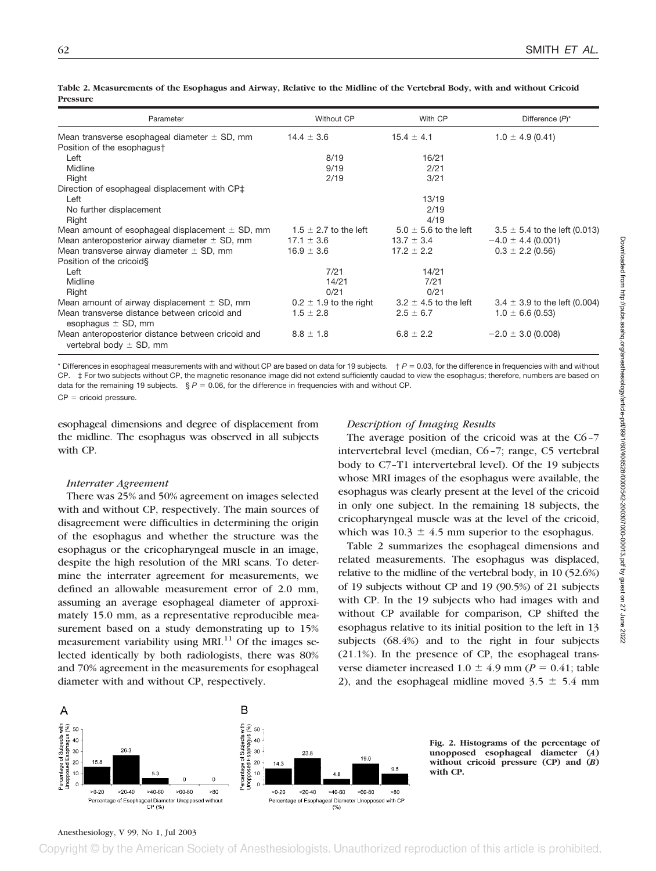| Parameter                                                                        | Without CP                 | With CP                   | Difference $(P)^*$                |
|----------------------------------------------------------------------------------|----------------------------|---------------------------|-----------------------------------|
| Mean transverse esophageal diameter $\pm$ SD, mm                                 | $14.4 \pm 3.6$             | $15.4 \pm 4.1$            | $1.0 \pm 4.9$ (0.41)              |
| Position of the esophagus†                                                       |                            |                           |                                   |
| Left                                                                             | 8/19                       | 16/21                     |                                   |
| Midline                                                                          | 9/19                       | 2/21                      |                                   |
| Right                                                                            | 2/19                       | 3/21                      |                                   |
| Direction of esophageal displacement with CP‡                                    |                            |                           |                                   |
| Left                                                                             |                            | 13/19                     |                                   |
| No further displacement                                                          |                            | 2/19                      |                                   |
| Right                                                                            |                            | 4/19                      |                                   |
| Mean amount of esophageal displacement $\pm$ SD, mm                              | 1.5 $\pm$ 2.7 to the left  | $5.0 \pm 5.6$ to the left | $3.5 \pm 5.4$ to the left (0.013) |
| Mean anteroposterior airway diameter $\pm$ SD, mm                                | $17.1 \pm 3.6$             | $13.7 \pm 3.4$            | $-4.0 \pm 4.4$ (0.001)            |
| Mean transverse airway diameter $\pm$ SD, mm                                     | $16.9 \pm 3.6$             | $17.2 \pm 2.2$            | $0.3 \pm 2.2$ (0.56)              |
| Position of the cricoid§                                                         |                            |                           |                                   |
| Left                                                                             | 7/21                       | 14/21                     |                                   |
| Midline                                                                          | 14/21                      | 7/21                      |                                   |
| Right                                                                            | 0/21                       | 0/21                      |                                   |
| Mean amount of airway displacement $\pm$ SD, mm                                  | $0.2 \pm 1.9$ to the right | $3.2 \pm 4.5$ to the left | $3.4 \pm 3.9$ to the left (0.004) |
| Mean transverse distance between cricoid and<br>esophagus $\pm$ SD, mm           | $1.5 \pm 2.8$              | $2.5 \pm 6.7$             | $1.0 \pm 6.6$ (0.53)              |
| Mean anteroposterior distance between cricoid and<br>vertebral body $\pm$ SD, mm | $8.8 \pm 1.8$              | $6.8 \pm 2.2$             | $-2.0 \pm 3.0$ (0.008)            |

**Table 2. Measurements of the Esophagus and Airway, Relative to the Midline of the Vertebral Body, with and without Cricoid Pressure**

\* Differences in esophageal measurements with and without CP are based on data for 19 subjects.  $\uparrow P = 0.03$ , for the difference in frequencies with and without CP. ‡ For two subjects without CP, the magnetic resonance image did not extend sufficiently caudad to view the esophagus; therefore, numbers are based on data for the remaining 19 subjects.  $\S P = 0.06$ , for the difference in frequencies with and without CP.

 $CP =$  cricoid pressure.

esophageal dimensions and degree of displacement from the midline. The esophagus was observed in all subjects with CP.

#### *Interrater Agreement*

There was 25% and 50% agreement on images selected with and without CP, respectively. The main sources of disagreement were difficulties in determining the origin of the esophagus and whether the structure was the esophagus or the cricopharyngeal muscle in an image, despite the high resolution of the MRI scans. To determine the interrater agreement for measurements, we defined an allowable measurement error of 2.0 mm, assuming an average esophageal diameter of approximately 15.0 mm, as a representative reproducible measurement based on a study demonstrating up to 15% measurement variability using  $MRI$ <sup>11</sup> Of the images selected identically by both radiologists, there was 80% and 70% agreement in the measurements for esophageal diameter with and without CP, respectively.

# *Description of Imaging Results*

The average position of the cricoid was at the C6–7 intervertebral level (median, C6–7; range, C5 vertebral body to C7–T1 intervertebral level). Of the 19 subjects whose MRI images of the esophagus were available, the esophagus was clearly present at the level of the cricoid in only one subject. In the remaining 18 subjects, the cricopharyngeal muscle was at the level of the cricoid, which was  $10.3 \pm 4.5$  mm superior to the esophagus.

Table 2 summarizes the esophageal dimensions and related measurements. The esophagus was displaced, relative to the midline of the vertebral body, in 10 (52.6%) of 19 subjects without CP and 19 (90.5%) of 21 subjects with CP. In the 19 subjects who had images with and without CP available for comparison, CP shifted the esophagus relative to its initial position to the left in 13 subjects (68.4%) and to the right in four subjects (21.1%). In the presence of CP, the esophageal transverse diameter increased  $1.0 \pm 4.9$  mm ( $P = 0.41$ ; table 2), and the esophageal midline moved  $3.5 \pm 5.4$  mm



**Fig. 2. Histograms of the percentage of unopposed esophageal diameter (***A***) without cricoid pressure (CP) and (***B***) with CP.**

Downloaded from http://pubs.asahq.org/anesthesiology/article-pdf/99/140040528/0000542-200307000-00013.pdf by guest on 27 June 2022 Downloaded from http://pubs.asahq.org/anesthesiology/article-pdf/99/1/60/408528/0000542-200307000-00013.pdf by guest on 27 June 2022

# Anesthesiology, V 99, No 1, Jul 2003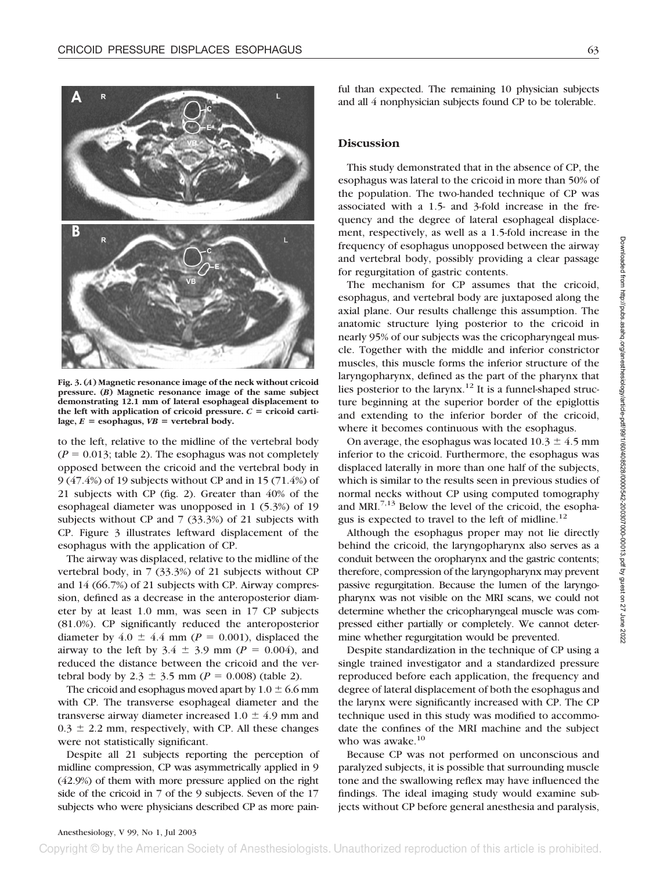

**Fig. 3. (***A***) Magnetic resonance image of the neck without cricoid pressure. (***B***) Magnetic resonance image of the same subject demonstrating 12.1 mm of lateral esophageal displacement to** the left with application of cricoid pressure.  $C =$  cricoid carti- $\text{lage}, E = \text{esophagus}, VB = \text{vertebral body}.$ 

to the left, relative to the midline of the vertebral body  $(P = 0.013$ ; table 2). The esophagus was not completely opposed between the cricoid and the vertebral body in 9 (47.4%) of 19 subjects without CP and in 15 (71.4%) of 21 subjects with CP (fig. 2). Greater than 40% of the esophageal diameter was unopposed in 1 (5.3%) of 19 subjects without CP and 7 (33.3%) of 21 subjects with CP. Figure 3 illustrates leftward displacement of the esophagus with the application of CP.

The airway was displaced, relative to the midline of the vertebral body, in 7 (33.3%) of 21 subjects without CP and 14 (66.7%) of 21 subjects with CP. Airway compression, defined as a decrease in the anteroposterior diameter by at least 1.0 mm, was seen in 17 CP subjects (81.0%). CP significantly reduced the anteroposterior diameter by  $4.0 \pm 4.4$  mm ( $P = 0.001$ ), displaced the airway to the left by  $3.4 \pm 3.9$  mm ( $P = 0.004$ ), and reduced the distance between the cricoid and the vertebral body by  $2.3 \pm 3.5$  mm ( $P = 0.008$ ) (table 2).

The cricoid and esophagus moved apart by  $1.0 \pm 6.6$  mm with CP. The transverse esophageal diameter and the transverse airway diameter increased  $1.0 \pm 4.9$  mm and  $0.3 \pm 2.2$  mm, respectively, with CP. All these changes were not statistically significant.

Despite all 21 subjects reporting the perception of midline compression, CP was asymmetrically applied in 9 (42.9%) of them with more pressure applied on the right side of the cricoid in 7 of the 9 subjects. Seven of the 17 subjects who were physicians described CP as more pain-

ful than expected. The remaining 10 physician subjects and all 4 nonphysician subjects found CP to be tolerable.

## **Discussion**

This study demonstrated that in the absence of CP, the esophagus was lateral to the cricoid in more than 50% of the population. The two-handed technique of CP was associated with a 1.5- and 3-fold increase in the frequency and the degree of lateral esophageal displacement, respectively, as well as a 1.5-fold increase in the frequency of esophagus unopposed between the airway and vertebral body, possibly providing a clear passage for regurgitation of gastric contents.

The mechanism for CP assumes that the cricoid, esophagus, and vertebral body are juxtaposed along the axial plane. Our results challenge this assumption. The anatomic structure lying posterior to the cricoid in nearly 95% of our subjects was the cricopharyngeal muscle. Together with the middle and inferior constrictor muscles, this muscle forms the inferior structure of the laryngopharynx, defined as the part of the pharynx that lies posterior to the larynx.<sup>12</sup> It is a funnel-shaped structure beginning at the superior border of the epiglottis and extending to the inferior border of the cricoid, where it becomes continuous with the esophagus.

On average, the esophagus was located  $10.3 \pm 4.5$  mm inferior to the cricoid. Furthermore, the esophagus was displaced laterally in more than one half of the subjects, which is similar to the results seen in previous studies of normal necks without CP using computed tomography and MRI. $^{7,13}$  Below the level of the cricoid, the esophagus is expected to travel to the left of midline. $^{12}$ 

Although the esophagus proper may not lie directly behind the cricoid, the laryngopharynx also serves as a conduit between the oropharynx and the gastric contents; therefore, compression of the laryngopharynx may prevent passive regurgitation. Because the lumen of the laryngopharynx was not visible on the MRI scans, we could not determine whether the cricopharyngeal muscle was compressed either partially or completely. We cannot determine whether regurgitation would be prevented.

Despite standardization in the technique of CP using a single trained investigator and a standardized pressure reproduced before each application, the frequency and degree of lateral displacement of both the esophagus and the larynx were significantly increased with CP. The CP technique used in this study was modified to accommodate the confines of the MRI machine and the subject who was awake.<sup>10</sup>

Because CP was not performed on unconscious and paralyzed subjects, it is possible that surrounding muscle tone and the swallowing reflex may have influenced the findings. The ideal imaging study would examine subjects without CP before general anesthesia and paralysis,